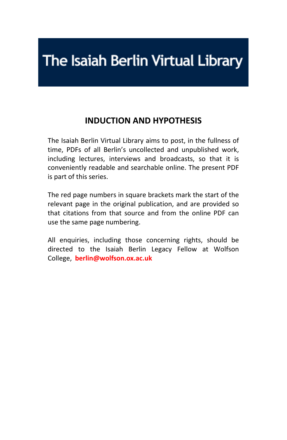# The Isaiah Berlin Virtual Library

### **INDUCTION AND HYPOTHESIS**

The Isaiah Berlin Virtual Library aims to post, in the fullness of time, PDFs of all Berlin's uncollected and unpublished work, including lectures, interviews and broadcasts, so that it is conveniently readable and searchable online. The present PDF is part of this series.

The red page numbers in square brackets mark the start of the relevant page in the original publication, and are provided so that citations from that source and from the online PDF can use the same page numbering.

All enquiries, including those concerning rights, should be directed to the Isaiah Berlin Legacy Fellow at Wolfson College, **[berlin@wolfson.ox.ac.uk](mailto:berlin@wolfson.ox.ac.uk)**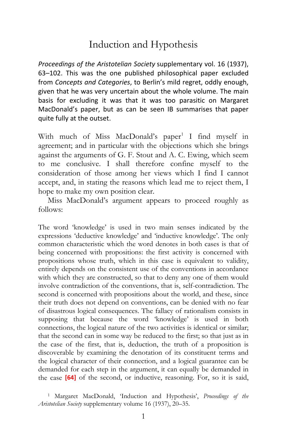## Induction and Hypothesis

*Proceedings of the Aristotelian Society* supplementary vol. 16 (1937), 63–102. This was the one published philosophical paper excluded from *Concepts and Categories*, to Berlin's mild regret, oddly enough, given that he was very uncertain about the whole volume. The main basis for excluding it was that it was too parasitic on Margaret MacDonald's paper, but as can be seen IB summarises that paper quite fully at the outset.

With much of Miss MacDonald's paper<sup>[1](#page-1-0)</sup> I find myself in agreement; and in particular with the objections which she brings against the arguments of G. F. Stout and A. C. Ewing, which seem to me conclusive. I shall therefore confine myself to the consideration of those among her views which I find I cannot accept, and, in stating the reasons which lead me to reject them, I hope to make my own position clear.

Miss MacDonald's argument appears to proceed roughly as follows:

The word 'knowledge' is used in two main senses indicated by the expressions 'deductive knowledge' and 'inductive knowledge'. The only common characteristic which the word denotes in both cases is that of being concerned with propositions: the first activity is concerned with propositions whose truth, which in this case is equivalent to validity, entirely depends on the consistent use of the conventions in accordance with which they are constructed, so that to deny any one of them would involve contradiction of the conventions, that is, self-contradiction. The second is concerned with propositions about the world, and these, since their truth does not depend on conventions, can be denied with no fear of disastrous logical consequences. The fallacy of rationalism consists in supposing that because the word 'knowledge' is used in both connections, the logical nature of the two activities is identical or similar; that the second can in some way be reduced to the first; so that just as in the case of the first, that is, deduction, the truth of a proposition is discoverable by examining the denotation of its constituent terms and the logical character of their connection, and a logical guarantee can be demanded for each step in the argument, it can equally be demanded in the case **[64]** of the second, or inductive, reasoning. For, so it is said,

<span id="page-1-1"></span><span id="page-1-0"></span><sup>1</sup> Margaret MacDonald, 'Induction and Hypothesis', *Proceedings of the Aristotelian Society* supplementary volume 16 (1937), 20–35.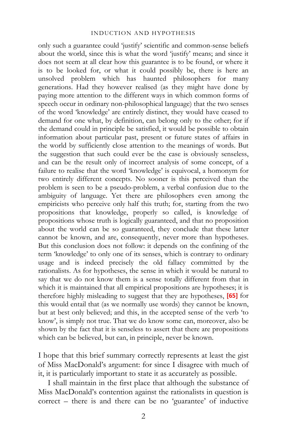only such a guarantee could 'justify' scientific and common-sense beliefs about the world, since this is what the word 'justify' means; and since it does not seem at all clear how this guarantee is to be found, or where it is to be looked for, or what it could possibly be, there is here an unsolved problem which has haunted philosophers for many generations. Had they however realised (as they might have done by paying more attention to the different ways in which common forms of speech occur in ordinary non-philosophical language) that the two senses of the word 'knowledge' are entirely distinct, they would have ceased to demand for one what, by definition, can belong only to the other; for if the demand could in principle be satisfied, it would be possible to obtain information about particular past, present or future states of affairs in the world by sufficiently close attention to the meanings of words. But the suggestion that such could ever be the case is obviously senseless, and can be the result only of incorrect analysis of some concept, of a failure to realise that the word 'knowledge' is equivocal, a homonym for two entirely different concepts. No sooner is this perceived than the problem is seen to be a pseudo-problem, a verbal confusion due to the ambiguity of language. Yet there are philosophers even among the empiricists who perceive only half this truth; for, starting from the two propositions that knowledge, properly so called, is knowledge of propositions whose truth is logically guaranteed, and that no proposition about the world can be so guaranteed, they conclude that these latter cannot be known, and are, consequently, never more than hypotheses. But this conclusion does not follow: it depends on the confining of the term 'knowledge' to only one of its senses, which is contrary to ordinary usage and is indeed precisely the old fallacy committed by the rationalists. As for hypotheses, the sense in which it would be natural to say that we do not know them is a sense totally different from that in which it is maintained that all empirical propositions are hypotheses; it is therefore highly misleading to suggest that they are hypotheses, **[65]** for this would entail that (as we normally use words) they cannot be known, but at best only believed; and this, in the accepted sense of the verb 'to know', is simply not true. That we do know some can, moreover, also be shown by the fact that it is senseless to assert that there are propositions which can be believed, but can, in principle, never be known.

I hope that this brief summary correctly represents at least the gist of Miss MacDonald's argument: for since I disagree with much of it, it is particularly important to state it as accurately as possible.

I shall maintain in the first place that although the substance of Miss MacDonald's contention against the rationalists in question is correct – there is and there can be no 'guarantee' of inductive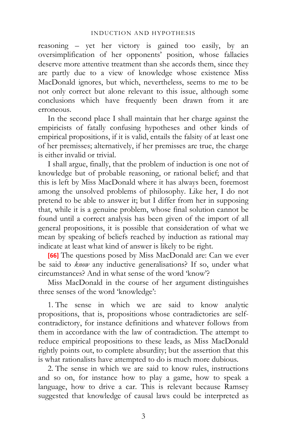reasoning – yet her victory is gained too easily, by an oversimplification of her opponents' position, whose fallacies deserve more attentive treatment than she accords them, since they are partly due to a view of knowledge whose existence Miss MacDonald ignores, but which, nevertheless, seems to me to be not only correct but alone relevant to this issue, although some conclusions which have frequently been drawn from it are erroneous.

In the second place I shall maintain that her charge against the empiricists of fatally confusing hypotheses and other kinds of empirical propositions, if it is valid, entails the falsity of at least one of her premisses; alternatively, if her premisses are true, the charge is either invalid or trivial.

I shall argue, finally, that the problem of induction is one not of knowledge but of probable reasoning, or rational belief; and that this is left by Miss MacDonald where it has always been, foremost among the unsolved problems of philosophy. Like her, I do not pretend to be able to answer it; but I differ from her in supposing that, while it is a genuine problem, whose final solution cannot be found until a correct analysis has been given of the import of all general propositions, it is possible that consideration of what we mean by speaking of beliefs reached by induction as rational may indicate at least what kind of answer is likely to be right.

**[66]** The questions posed by Miss MacDonald are: Can we ever be said to *know* any inductive generalisations? If so, under what circumstances? And in what sense of the word 'know'?

Miss MacDonald in the course of her argument distinguishes three senses of the word 'knowledge':

1. The sense in which we are said to know analytic propositions, that is, propositions whose contradictories are selfcontradictory, for instance definitions and whatever follows from them in accordance with the law of contradiction. The attempt to reduce empirical propositions to these leads, as Miss MacDonald rightly points out, to complete absurdity; but the assertion that this is what rationalists have attempted to do is much more dubious.

2. The sense in which we are said to know rules, instructions and so on, for instance how to play a game, how to speak a language, how to drive a car. This is relevant because Ramsey suggested that knowledge of causal laws could be interpreted as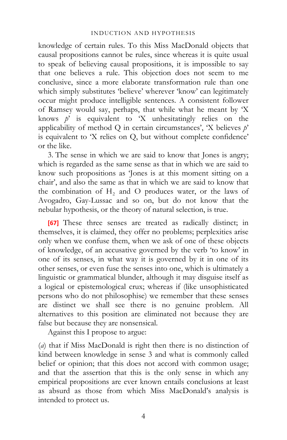knowledge of certain rules. To this Miss MacDonald objects that causal propositions cannot be rules, since whereas it is quite usual to speak of believing causal propositions, it is impossible to say that one believes a rule. This objection does not seem to me conclusive, since a more elaborate transformation rule than one which simply substitutes 'believe' wherever 'know' can legitimately occur might produce intelligible sentences. A consistent follower of Ramsey would say, perhaps, that while what he meant by 'X knows *p*' is equivalent to 'X unhesitatingly relies on the applicability of method Q in certain circumstances', 'X believes *p*' is equivalent to 'X relies on Q, but without complete confidence' or the like.

3. The sense in which we are said to know that Jones is angry; which is regarded as the same sense as that in which we are said to know such propositions as 'Jones is at this moment sitting on a chair', and also the same as that in which we are said to know that the combination of  $H<sub>2</sub>$  and O produces water, or the laws of Avogadro, Gay-Lussac and so on, but do not know that the nebular hypothesis, or the theory of natural selection, is true.

**[67]** These three senses are treated as radically distinct; in themselves, it is claimed, they offer no problems; perplexities arise only when we confuse them, when we ask of one of these objects of knowledge, of an accusative governed by the verb 'to know' in one of its senses, in what way it is governed by it in one of its other senses, or even fuse the senses into one, which is ultimately a linguistic or grammatical blunder, although it may disguise itself as a logical or epistemological crux; whereas if (like unsophisticated persons who do not philosophise) we remember that these senses are distinct we shall see there is no genuine problem. All alternatives to this position are eliminated not because they are false but because they are nonsensical.

Against this I propose to argue:

(*a*) that if Miss MacDonald is right then there is no distinction of kind between knowledge in sense 3 and what is commonly called belief or opinion; that this does not accord with common usage; and that the assertion that this is the only sense in which any empirical propositions are ever known entails conclusions at least as absurd as those from which Miss MacDonald's analysis is intended to protect us.

4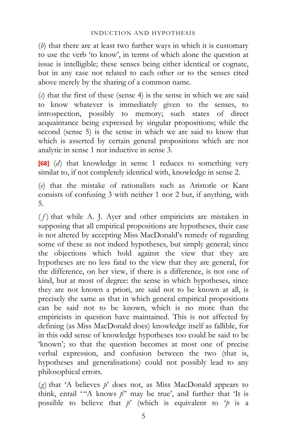#### INDUCTION AND HYPOTHESIS

(*b*) that there are at least two further ways in which it is customary to use the verb 'to know', in terms of which alone the question at issue is intelligible; these senses being either identical or cognate, but in any case not related to each other or to the senses cited above merely by the sharing of a common name.

(*c*) that the first of these (sense 4) is the sense in which we are said to know whatever is immediately given to the senses, to introspection, possibly to memory; such states of direct acquaintance being expressed by singular propositions; while the second (sense 5) is the sense in which we are said to know that which is asserted by certain general propositions which are not analytic in sense 1 nor inductive in sense 3.

**[68]** (*d*) that knowledge in sense 1 reduces to something very similar to, if not completely identical with, knowledge in sense 2.

(*e*) that the mistake of rationalists such as Aristotle or Kant consists of confusing 3 with neither 1 nor 2 but, if anything, with 5.

 $(f)$  that while A. J. Ayer and other empiricists are mistaken in supposing that all empirical propositions are hypotheses, their case is not altered by accepting Miss MacDonald's remedy of regarding some of these as not indeed hypotheses, but simply general; since the objections which hold against the view that they are hypotheses are no less fatal to the view that they are general, for the difference, on her view, if there is a difference, is not one of kind, but at most of degree: the sense in which hypotheses, since they are not known a priori, are said not to be known at all, is precisely the same as that in which general empirical propositions can be said not to be known, which is no more than the empiricists in question have maintained. This is not affected by defining (as Miss MacDonald does) knowledge itself as fallible, for in this odd sense of knowledge hypotheses too could be said to be 'known'; so that the question becomes at most one of precise verbal expression, and confusion between the two (that is, hypotheses and generalisations) could not possibly lead to any philosophical errors.

(*g*) that 'A believes *p*' does not, as Miss MacDonald appears to think, entail "A knows p" may be true', and further that 'It is possible to believe that *p*' (which is equivalent to '*p* is a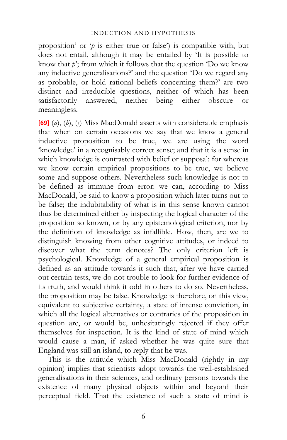proposition' or  $\phi$  is either true or false') is compatible with, but does not entail, although it may be entailed by 'It is possible to know that *p*'; from which it follows that the question 'Do we know any inductive generalisations?' and the question 'Do we regard any as probable, or hold rational beliefs concerning them?' are two distinct and irreducible questions, neither of which has been satisfactorily answered, neither being either obscure or meaningless.

**[69]** (*a*), (*b*), (*c*) Miss MacDonald asserts with considerable emphasis that when on certain occasions we say that we know a general inductive proposition to be true, we are using the word 'knowledge' in a recognisably correct sense; and that it is a sense in which knowledge is contrasted with belief or supposal: for whereas we know certain empirical propositions to be true, we believe some and suppose others. Nevertheless such knowledge is not to be defined as immune from error: we can, according to Miss MacDonald, be said to know a proposition which later turns out to be false; the indubitability of what is in this sense known cannot thus be determined either by inspecting the logical character of the proposition so known, or by any epistemological criterion, nor by the definition of knowledge as infallible. How, then, are we to distinguish knowing from other cognitive attitudes, or indeed to discover what the term denotes? The only criterion left is psychological. Knowledge of a general empirical proposition is defined as an attitude towards it such that, after we have carried out certain tests, we do not trouble to look for further evidence of its truth, and would think it odd in others to do so. Nevertheless, the proposition may be false. Knowledge is therefore, on this view, equivalent to subjective certainty, a state of intense conviction, in which all the logical alternatives or contraries of the proposition in question are, or would be, unhesitatingly rejected if they offer themselves for inspection. It is the kind of state of mind which would cause a man, if asked whether he was quite sure that England was still an island, to reply that he was.

This is the attitude which Miss MacDonald (rightly in my opinion) implies that scientists adopt towards the well-established generalisations in their sciences, and ordinary persons towards the existence of many physical objects within and beyond their perceptual field. That the existence of such a state of mind is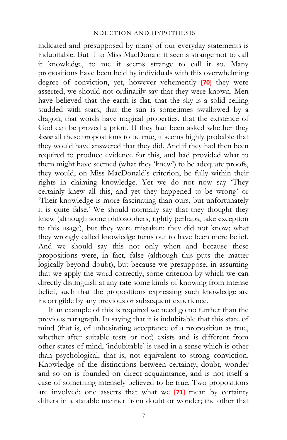indicated and presupposed by many of our everyday statements is indubitable. But if to Miss MacDonald it seems strange not to call it knowledge, to me it seems strange to call it so. Many propositions have been held by individuals with this overwhelming degree of conviction, yet, however vehemently **[70]** they were asserted, we should not ordinarily say that they were known. Men have believed that the earth is flat, that the sky is a solid ceiling studded with stars, that the sun is sometimes swallowed by a dragon, that words have magical properties, that the existence of God can be proved a priori. If they had been asked whether they *knew* all these propositions to be true, it seems highly probable that they would have answered that they did. And if they had then been required to produce evidence for this, and had provided what to them might have seemed (what they 'knew') to be adequate proofs, they would, on Miss MacDonald's criterion, be fully within their rights in claiming knowledge. Yet we do not now say 'They certainly knew all this, and yet they happened to be wrong' or 'Their knowledge is more fascinating than ours, but unfortunately it is quite false.' We should normally say that they thought they knew (although some philosophers, rightly perhaps, take exception to this usage), but they were mistaken: they did not know; what they wrongly called knowledge turns out to have been mere belief. And we should say this not only when and because these propositions were, in fact, false (although this puts the matter logically beyond doubt), but because we presuppose, in assuming that we apply the word correctly, some criterion by which we can directly distinguish at any rate some kinds of knowing from intense belief, such that the propositions expressing such knowledge are incorrigible by any previous or subsequent experience.

If an example of this is required we need go no further than the previous paragraph. In saying that it is indubitable that this state of mind (that is, of unhesitating acceptance of a proposition as true, whether after suitable tests or not) exists and is different from other states of mind, 'indubitable' is used in a sense which is other than psychological, that is, not equivalent to strong conviction. Knowledge of the distinctions between certainty, doubt, wonder and so on is founded on direct acquaintance, and is not itself a case of something intensely believed to be true. Two propositions are involved: one asserts that what we **[71]** mean by certainty differs in a statable manner from doubt or wonder; the other that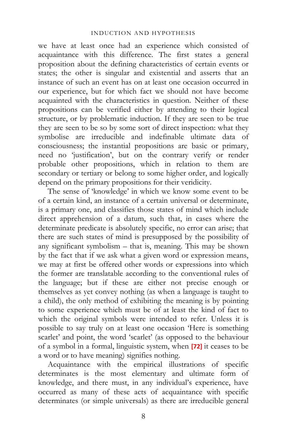we have at least once had an experience which consisted of acquaintance with this difference. The first states a general proposition about the defining characteristics of certain events or states; the other is singular and existential and asserts that an instance of such an event has on at least one occasion occurred in our experience, but for which fact we should not have become acquainted with the characteristics in question. Neither of these propositions can be verified either by attending to their logical structure, or by problematic induction. If they are seen to be true they are seen to be so by some sort of direct inspection: what they symbolise are irreducible and indefinable ultimate data of consciousness; the instantial propositions are basic or primary, need no 'justification', but on the contrary verify or render probable other propositions, which in relation to them are secondary or tertiary or belong to some higher order, and logically depend on the primary propositions for their veridicity.

The sense of 'knowledge' in which we know some event to be of a certain kind, an instance of a certain universal or determinate, is a primary one, and classifies those states of mind which include direct apprehension of a datum, such that, in cases where the determinate predicate is absolutely specific, no error can arise; that there are such states of mind is presupposed by the possibility of any significant symbolism – that is, meaning. This may be shown by the fact that if we ask what a given word or expression means, we may at first be offered other words or expressions into which the former are translatable according to the conventional rules of the language; but if these are either not precise enough or themselves as yet convey nothing (as when a language is taught to a child), the only method of exhibiting the meaning is by pointing to some experience which must be of at least the kind of fact to which the original symbols were intended to refer. Unless it is possible to say truly on at least one occasion 'Here is something scarlet' and point, the word 'scarlet' (as opposed to the behaviour of a symbol in a formal, linguistic system, when **[72]** it ceases to be a word or to have meaning) signifies nothing.

Acquaintance with the empirical illustrations of specific determinates is the most elementary and ultimate form of knowledge, and there must, in any individual's experience, have occurred as many of these acts of acquaintance with specific determinates (or simple universals) as there are irreducible general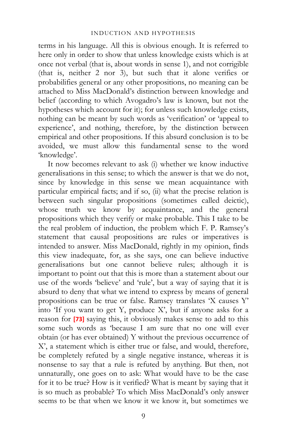terms in his language. All this is obvious enough. It is referred to here only in order to show that unless knowledge exists which is at once not verbal (that is, about words in sense 1), and not corrigible (that is, neither 2 nor 3), but such that it alone verifies or probabilifies general or any other propositions, no meaning can be attached to Miss MacDonald's distinction between knowledge and belief (according to which Avogadro's law is known, but not the hypotheses which account for it); for unless such knowledge exists, nothing can be meant by such words as 'verification' or 'appeal to experience', and nothing, therefore, by the distinction between empirical and other propositions. If this absurd conclusion is to be avoided, we must allow this fundamental sense to the word 'knowledge'.

It now becomes relevant to ask (i) whether we know inductive generalisations in this sense; to which the answer is that we do not, since by knowledge in this sense we mean acquaintance with particular empirical facts; and if so, (ii) what the precise relation is between such singular propositions (sometimes called deictic), whose truth we know by acquaintance, and the general propositions which they verify or make probable. This I take to be the real problem of induction, the problem which F. P. Ramsey's statement that causal propositions are rules or imperatives is intended to answer. Miss MacDonald, rightly in my opinion, finds this view inadequate, for, as she says, one can believe inductive generalisations but one cannot believe rules; although it is important to point out that this is more than a statement about our use of the words 'believe' and 'rule', but a way of saying that it is absurd to deny that what we intend to express by means of general propositions can be true or false. Ramsey translates 'X causes Y' into 'If you want to get Y, produce X', but if anyone asks for a reason for **[73]** saying this, it obviously makes sense to add to this some such words as 'because I am sure that no one will ever obtain (or has ever obtained) Y without the previous occurrence of X', a statement which is either true or false, and would, therefore, be completely refuted by a single negative instance, whereas it is nonsense to say that a rule is refuted by anything. But then, not unnaturally, one goes on to ask: What would have to be the case for it to be true? How is it verified? What is meant by saying that it is so much as probable? To which Miss MacDonald's only answer seems to be that when we know it we know it, but sometimes we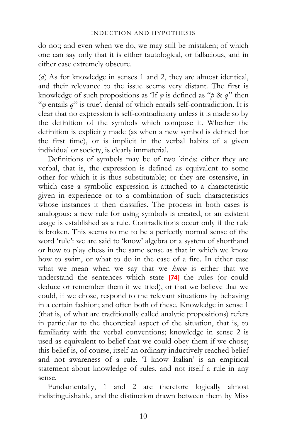do not; and even when we do, we may still be mistaken; of which one can say only that it is either tautological, or fallacious, and in either case extremely obscure.

(*d*) As for knowledge in senses 1 and 2, they are almost identical, and their relevance to the issue seems very distant. The first is knowledge of such propositions as 'If  $\varphi$  is defined as " $p \& q$ " then "*φ* entails *q*" is true', denial of which entails self-contradiction. It is clear that no expression is self-contradictory unless it is made so by the definition of the symbols which compose it. Whether the definition is explicitly made (as when a new symbol is defined for the first time), or is implicit in the verbal habits of a given individual or society, is clearly immaterial.

Definitions of symbols may be of two kinds: either they are verbal, that is, the expression is defined as equivalent to some other for which it is thus substitutable; or they are ostensive, in which case a symbolic expression is attached to a characteristic given in experience or to a combination of such characteristics whose instances it then classifies. The process in both cases is analogous: a new rule for using symbols is created, or an existent usage is established as a rule. Contradictions occur only if the rule is broken. This seems to me to be a perfectly normal sense of the word 'rule': we are said to 'know' algebra or a system of shorthand or how to play chess in the same sense as that in which we know how to swim, or what to do in the case of a fire. In either case what we mean when we say that we *know* is either that we understand the sentences which state **[74]** the rules (or could deduce or remember them if we tried), or that we believe that we could, if we chose, respond to the relevant situations by behaving in a certain fashion; and often both of these. Knowledge in sense 1 (that is, of what are traditionally called analytic propositions) refers in particular to the theoretical aspect of the situation, that is, to familiarity with the verbal conventions; knowledge in sense 2 is used as equivalent to belief that we could obey them if we chose; this belief is, of course, itself an ordinary inductively reached belief and not awareness of a rule. 'I know Italian' is an empirical statement about knowledge of rules, and not itself a rule in any sense.

Fundamentally, 1 and 2 are therefore logically almost indistinguishable, and the distinction drawn between them by Miss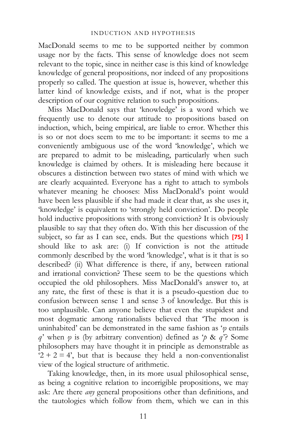MacDonald seems to me to be supported neither by common usage nor by the facts. This sense of knowledge does not seem relevant to the topic, since in neither case is this kind of knowledge knowledge of general propositions, nor indeed of any propositions properly so called. The question at issue is, however, whether this latter kind of knowledge exists, and if not, what is the proper description of our cognitive relation to such propositions.

Miss MacDonald says that 'knowledge' is a word which we frequently use to denote our attitude to propositions based on induction, which, being empirical, are liable to error. Whether this is so or not does seem to me to be important: it seems to me a conveniently ambiguous use of the word 'knowledge', which we are prepared to admit to be misleading, particularly when such knowledge is claimed by others. It is misleading here because it obscures a distinction between two states of mind with which we are clearly acquainted. Everyone has a right to attach to symbols whatever meaning he chooses: Miss MacDonald's point would have been less plausible if she had made it clear that, as she uses it, 'knowledge' is equivalent to 'strongly held conviction'. Do people hold inductive propositions with strong conviction? It is obviously plausible to say that they often do. With this her discussion of the subject, so far as I can see, ends. But the questions which **[75]** I should like to ask are: (i) If conviction is not the attitude commonly described by the word 'knowledge', what is it that is so described? (ii) What difference is there, if any, between rational and irrational conviction? These seem to be the questions which occupied the old philosophers. Miss MacDonald's answer to, at any rate, the first of these is that it is a pseudo-question due to confusion between sense 1 and sense 3 of knowledge. But this is too unplausible. Can anyone believe that even the stupidest and most dogmatic among rationalists believed that 'The moon is uninhabited' can be demonstrated in the same fashion as '*φ* entails *q*' when *φ* is (by arbitrary convention) defined as '*p* & *q*'? Some philosophers may have thought it in principle as demonstrable as  $2 + 2 = 4$ , but that is because they held a non-conventionalist view of the logical structure of arithmetic.

Taking knowledge, then, in its more usual philosophical sense, as being a cognitive relation to incorrigible propositions, we may ask: Are there *any* general propositions other than definitions, and the tautologies which follow from them, which we can in this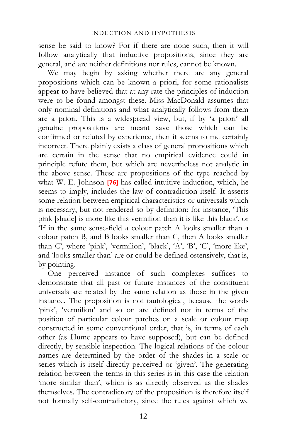sense be said to know? For if there are none such, then it will follow analytically that inductive propositions, since they are general, and are neither definitions nor rules, cannot be known.

We may begin by asking whether there are any general propositions which can be known a priori, for some rationalists appear to have believed that at any rate the principles of induction were to be found amongst these. Miss MacDonald assumes that only nominal definitions and what analytically follows from them are a priori. This is a widespread view, but, if by 'a priori' all genuine propositions are meant save those which can be confirmed or refuted by experience, then it seems to me certainly incorrect. There plainly exists a class of general propositions which are certain in the sense that no empirical evidence could in principle refute them, but which are nevertheless not analytic in the above sense. These are propositions of the type reached by what W. E. Johnson **[76]** has called intuitive induction, which, he seems to imply, includes the law of contradiction itself. It asserts some relation between empirical characteristics or universals which is necessary, but not rendered so by definition: for instance, 'This pink [shade] is more like this vermilion than it is like this black', or 'If in the same sense-field a colour patch A looks smaller than a colour patch B, and B looks smaller than C, then A looks smaller than C', where 'pink', 'vermilion', 'black', 'A', 'B', 'C', 'more like', and 'looks smaller than' are or could be defined ostensively, that is, by pointing.

One perceived instance of such complexes suffices to demonstrate that all past or future instances of the constituent universals are related by the same relation as those in the given instance. The proposition is not tautological, because the words 'pink', 'vermilion' and so on are defined not in terms of the position of particular colour patches on a scale or colour map constructed in some conventional order, that is, in terms of each other (as Hume appears to have supposed), but can be defined directly, by sensible inspection. The logical relations of the colour names are determined by the order of the shades in a scale or series which is itself directly perceived or 'given'. The generating relation between the terms in this series is in this case the relation 'more similar than', which is as directly observed as the shades themselves. The contradictory of the proposition is therefore itself not formally self-contradictory, since the rules against which we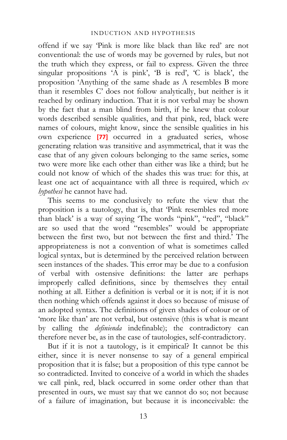offend if we say 'Pink is more like black than like red' are not conventional: the use of words may be governed by rules, but not the truth which they express, or fail to express. Given the three singular propositions 'A is pink', 'B is red', 'C is black', the proposition 'Anything of the same shade as A resembles B more than it resembles C' does not follow analytically, but neither is it reached by ordinary induction. That it is not verbal may be shown by the fact that a man blind from birth, if he knew that colour words described sensible qualities, and that pink, red, black were names of colours, might know, since the sensible qualities in his own experience **[77]** occurred in a graduated series, whose generating relation was transitive and asymmetrical, that it was the case that of any given colours belonging to the same series, some two were more like each other than either was like a third; but he could not know of which of the shades this was true: for this, at least one act of acquaintance with all three is required, which *ex hypothesi* he cannot have had.

This seems to me conclusively to refute the view that the proposition is a tautology, that is, that 'Pink resembles red more than black' is a way of saying 'The words "pink", "red", "black" are so used that the word "resembles" would be appropriate between the first two, but not between the first and third.' The appropriateness is not a convention of what is sometimes called logical syntax, but is determined by the perceived relation between seen instances of the shades. This error may be due to a confusion of verbal with ostensive definitions: the latter are perhaps improperly called definitions, since by themselves they entail nothing at all. Either a definition is verbal or it is not; if it is not then nothing which offends against it does so because of misuse of an adopted syntax. The definitions of given shades of colour or of 'more like than' are not verbal, but ostensive (this is what is meant by calling the *definienda* indefinable); the contradictory can therefore never be, as in the case of tautologies, self-contradictory.

But if it is not a tautology, is it empirical? It cannot be this either, since it is never nonsense to say of a general empirical proposition that it is false; but a proposition of this type cannot be so contradicted. Invited to conceive of a world in which the shades we call pink, red, black occurred in some order other than that presented in ours, we must say that we cannot do so; not because of a failure of imagination, but because it is inconceivable: the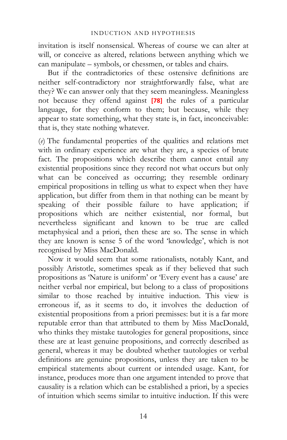invitation is itself nonsensical. Whereas of course we can alter at will, or conceive as altered, relations between anything which we can manipulate – symbols, or chessmen, or tables and chairs.

But if the contradictories of these ostensive definitions are neither self-contradictory nor straightforwardly false, what are they? We can answer only that they seem meaningless. Meaningless not because they offend against **[78]** the rules of a particular language, for they conform to them; but because, while they appear to state something, what they state is, in fact, inconceivable: that is, they state nothing whatever.

(*e*) The fundamental properties of the qualities and relations met with in ordinary experience are what they are, a species of brute fact. The propositions which describe them cannot entail any existential propositions since they record not what occurs but only what can be conceived as occurring; they resemble ordinary empirical propositions in telling us what to expect when they have application, but differ from them in that nothing can be meant by speaking of their possible failure to have application; if propositions which are neither existential, nor formal, but nevertheless significant and known to be true are called metaphysical and a priori, then these are so. The sense in which they are known is sense 5 of the word 'knowledge', which is not recognised by Miss MacDonald.

Now it would seem that some rationalists, notably Kant, and possibly Aristotle, sometimes speak as if they believed that such propositions as 'Nature is uniform' or 'Every event has a cause' are neither verbal nor empirical, but belong to a class of propositions similar to those reached by intuitive induction. This view is erroneous if, as it seems to do, it involves the deduction of existential propositions from a priori premisses: but it is a far more reputable error than that attributed to them by Miss MacDonald, who thinks they mistake tautologies for general propositions, since these are at least genuine propositions, and correctly described as general, whereas it may be doubted whether tautologies or verbal definitions are genuine propositions, unless they are taken to be empirical statements about current or intended usage. Kant, for instance, produces more than one argument intended to prove that causality is a relation which can be established a priori, by a species of intuition which seems similar to intuitive induction. If this were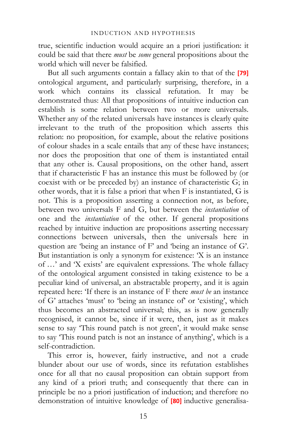true, scientific induction would acquire an a priori justification: it could be said that there *must* be *some* general propositions about the world which will never be falsified.

But all such arguments contain a fallacy akin to that of the **[79]** ontological argument, and particularly surprising, therefore, in a work which contains its classical refutation. It may be demonstrated thus: All that propositions of intuitive induction can establish is some relation between two or more universals. Whether any of the related universals have instances is clearly quite irrelevant to the truth of the proposition which asserts this relation: no proposition, for example, about the relative positions of colour shades in a scale entails that any of these have instances; nor does the proposition that one of them is instantiated entail that any other is. Causal propositions, on the other hand, assert that if characteristic F has an instance this must be followed by (or coexist with or be preceded by) an instance of characteristic G; in other words, that it is false a priori that when F is instantiated, G is not. This is a proposition asserting a connection not, as before, between two universals F and G, but between the *instantiation* of one and the *instantiation* of the other. If general propositions reached by intuitive induction are propositions asserting necessary connections between universals, then the universals here in question are 'being an instance of F' and 'being an instance of G'. But instantiation is only a synonym for existence: 'X is an instance of …' and 'X exists' are equivalent expressions. The whole fallacy of the ontological argument consisted in taking existence to be a peculiar kind of universal, an abstractable property, and it is again repeated here: 'If there is an instance of F there *must be* an instance of G' attaches 'must' to 'being an instance of' or 'existing', which thus becomes an abstracted universal; this, as is now generally recognised, it cannot be, since if it were, then, just as it makes sense to say 'This round patch is not green', it would make sense to say 'This round patch is not an instance of anything', which is a self-contradiction.

This error is, however, fairly instructive, and not a crude blunder about our use of words, since its refutation establishes once for all that no causal proposition can obtain support from any kind of a priori truth; and consequently that there can in principle be no a priori justification of induction; and therefore no demonstration of intuitive knowledge of **[80]** inductive generalisa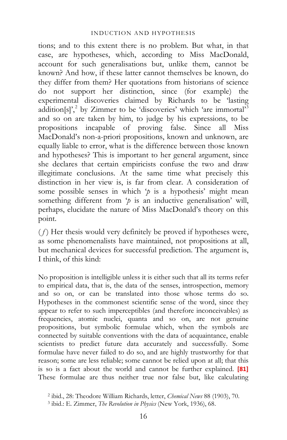tions; and to this extent there is no problem. But what, in that case, are hypotheses, which, according to Miss MacDonald, account for such generalisations but, unlike them, cannot be known? And how, if these latter cannot themselves be known, do they differ from them? Her quotations from historians of science do not support her distinction, since (for example) the experimental discoveries claimed by Richards to be 'lasting addition[s]',<sup>[2](#page-16-0)</sup> by Zimmer to be 'discoveries' which 'are immortal'<sup>[3](#page-16-1)</sup> and so on are taken by him, to judge by his expressions, to be propositions incapable of proving false. Since all Miss MacDonald's non-a-priori propositions, known and unknown, are equally liable to error, what is the difference between those known and hypotheses? This is important to her general argument, since she declares that certain empiricists confuse the two and draw illegitimate conclusions. At the same time what precisely this distinction in her view is, is far from clear. A consideration of some possible senses in which '*p* is a hypothesis' might mean something different from '*p* is an inductive generalisation' will, perhaps, elucidate the nature of Miss MacDonald's theory on this point.

 $(f)$  Her thesis would very definitely be proved if hypotheses were, as some phenomenalists have maintained, not propositions at all, but mechanical devices for successful prediction. The argument is, I think, of this kind:

No proposition is intelligible unless it is either such that all its terms refer to empirical data, that is, the data of the senses, introspection, memory and so on, or can be translated into those whose terms do so. Hypotheses in the commonest scientific sense of the word, since they appear to refer to such imperceptibles (and therefore inconceivables) as frequencies, atomic nuclei, quanta and so on, are not genuine propositions, but symbolic formulae which, when the symbols are connected by suitable conventions with the data of acquaintance, enable scientists to predict future data accurately and successfully. Some formulae have never failed to do so, and are highly trustworthy for that reason; some are less reliable; some cannot be relied upon at all; that this is so is a fact about the world and cannot be further explained. **[81]** These formulae are thus neither true nor false but, like calculating

<span id="page-16-0"></span><sup>2</sup> ibid., 28: Theodore William Richards, letter, *Chemical News* 88 (1903), 70.

<span id="page-16-1"></span><sup>3</sup> ibid.: E. Zimmer, *The Revolution in Physics* (New York, 1936), 68.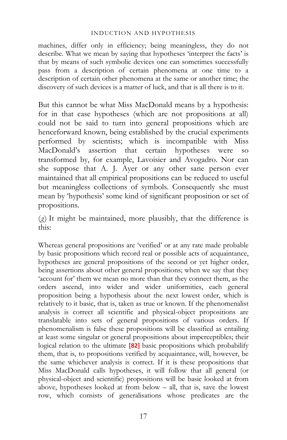#### INDUCTION AND HYPOTHESIS

machines, differ only in efficiency; being meaningless, they do not describe. What we mean by saying that hypotheses 'interpret the facts' is that by means of such symbolic devices one can sometimes successfully pass from a description of certain phenomena at one time to a description of certain other phenomena at the same or another time; the discovery of such devices is a matter of luck, and that is all there is to it.

But this cannot be what Miss MacDonald means by a hypothesis: for in that case hypotheses (which are not propositions at all) could not be said to turn into general propositions which are henceforward known, being established by the crucial experiments performed by scientists; which is incompatible with Miss MacDonald's assertion that certain hypotheses were so transformed by, for example, Lavoisier and Avogadro. Nor can she suppose that A. J. Ayer or any other sane person ever maintained that all empirical propositions can be reduced to useful but meaningless collections of symbols. Consequently she must mean by 'hypothesis' some kind of significant proposition or set of propositions.

(*g*) It might be maintained, more plausibly, that the difference is this:

Whereas general propositions are 'verified' or at any rate made probable by basic propositions which record real or possible acts of acquaintance, hypotheses are general propositions of the second or yet higher order, being assertions about other general propositions; when we say that they 'account for' them we mean no more than that they connect them, as the orders ascend, into wider and wider uniformities, each general proposition being a hypothesis about the next lowest order, which is relatively to it basic, that is, taken as true or known. If the phenomenalist analysis is correct all scientific and physical-object propositions are translatable into sets of general propositions of various orders. If phenomenalism is false these propositions will be classified as entailing at least some singular or general propositions about imperceptibles; their logical relation to the ultimate **[82]** basic propositions which probabilify them, that is, to propositions verified by acquaintance, will, however, be the same whichever analysis is correct. If it is these propositions that Miss MacDonald calls hypotheses, it will follow that all general (or physical-object and scientific) propositions will be basic looked at from above, hypotheses looked at from below – all, that is, save the lowest row, which consists of generalisations whose predicates are the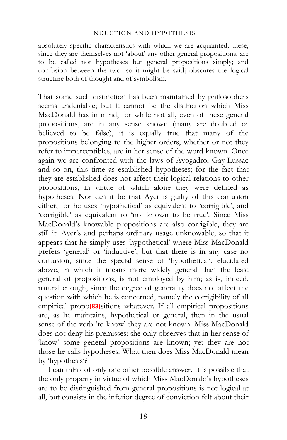#### INDUCTION AND HYPOTHESIS

absolutely specific characteristics with which we are acquainted; these, since they are themselves not 'about' any other general propositions, are to be called not hypotheses but general propositions simply; and confusion between the two [so it might be said] obscures the logical structure both of thought and of symbolism.

That some such distinction has been maintained by philosophers seems undeniable; but it cannot be the distinction which Miss MacDonald has in mind, for while not all, even of these general propositions, are in any sense known (many are doubted or believed to be false), it is equally true that many of the propositions belonging to the higher orders, whether or not they refer to imperceptibles, are in her sense of the word known. Once again we are confronted with the laws of Avogadro, Gay-Lussac and so on, this time as established hypotheses; for the fact that they are established does not affect their logical relations to other propositions, in virtue of which alone they were defined as hypotheses. Nor can it be that Ayer is guilty of this confusion either, for he uses 'hypothetical' as equivalent to 'corrigible', and 'corrigible' as equivalent to 'not known to be true'. Since Miss MacDonald's knowable propositions are also corrigible, they are still in Ayer's and perhaps ordinary usage unknowable; so that it appears that he simply uses 'hypothetical' where Miss MacDonald prefers 'general' or 'inductive', but that there is in any case no confusion, since the special sense of 'hypothetical', elucidated above, in which it means more widely general than the least general of propositions, is not employed by him; as is, indeed, natural enough, since the degree of generality does not affect the question with which he is concerned, namely the corrigibility of all empirical propo**[83]**sitions whatever. If all empirical propositions are, as he maintains, hypothetical or general, then in the usual sense of the verb 'to know' they are not known. Miss MacDonald does not deny his premisses: she only observes that in her sense of 'know' some general propositions are known; yet they are not those he calls hypotheses. What then does Miss MacDonald mean by 'hypothesis'?

I can think of only one other possible answer. It is possible that the only property in virtue of which Miss MacDonald's hypotheses are to be distinguished from general propositions is not logical at all, but consists in the inferior degree of conviction felt about their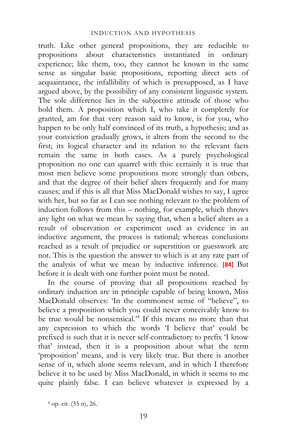truth. Like other general propositions, they are reducible to propositions about characteristics instantiated in ordinary experience; like them, too, they cannot be known in the same sense as singular basic propositions, reporting direct acts of acquaintance, the infallibility of which is presupposed, as I have argued above, by the possibility of any consistent linguistic system. The sole difference lies in the subjective attitude of those who hold them. A proposition which I, who take it completely for granted, am for that very reason said to know, is for you, who happen to be only half convinced of its truth, a hypothesis; and as your conviction gradually grows, it alters from the second to the first; its logical character and its relation to the relevant facts remain the same in both cases. As a purely psychological proposition no one can quarrel with this: certainly it is true that most men believe some propositions more strongly than others, and that the degree of their belief alters frequently and for many causes; and if this is all that Miss MacDonald wishes to say, I agree with her, but so far as I can see nothing relevant to the problem of induction follows from this – nothing, for example, which throws any light on what we mean by saying that, when a belief alters as a result of observation or experiment used as evidence in an inductive argument, the process is rational; whereas conclusions reached as a result of prejudice or superstition or guesswork are not. This is the question the answer to which is at any rate part of the analysis of what we mean by inductive inference. **[84]** But before it is dealt with one further point must be noted.

In the course of proving that all propositions reached by ordinary induction are in principle capable of being known, Miss MacDonald observes: 'In the commonest sense of "believe", to believe a proposition which you could never conceivably know to be true would be nonsensical.'[4](#page-19-0) If this means no more than that any expression to which the words 'I believe that' could be prefixed is such that it is never self-contradictory to prefix 'I know that' instead, then it is a proposition about what the term 'proposition' means, and is very likely true. But there is another sense of it, which alone seems relevant, and in which I therefore believe it to be used by Miss MacDonald, in which it seems to me quite plainly false. I can believe whatever is expressed by a

<span id="page-19-0"></span><sup>4</sup> op. cit. [\(35](#page-1-1) n), 26.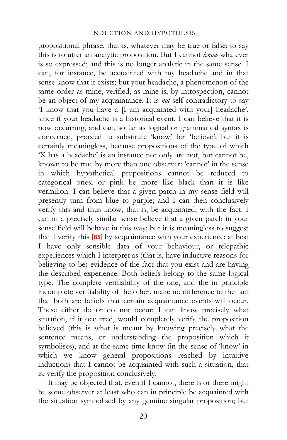propositional phrase, that is, whatever may be true or false: to say this is to utter an analytic proposition. But I cannot *know* whatever is so expressed; and this is no longer analytic in the same sense. I can, for instance, be acquainted with my headache and in that sense know that it exists; but your headache, a phenomenon of the same order as mine, verified, as mine is, by introspection, cannot be an object of my acquaintance. It is *not* self-contradictory to say 'I know that you have a [I am acquainted with your] headache', since if your headache is a historical event, I can believe that it is now occurring, and can, so far as logical or grammatical syntax is concerned, proceed to substitute 'know' for 'believe'; but it is certainly meaningless, because propositions of the type of which 'X has a headache' is an instance not only are not, but cannot be, known to be true by more than one observer: 'cannot' in the sense in which hypothetical propositions cannot be reduced to categorical ones, or pink be more like black than it is like vermilion. I can believe that a given patch in my sense field will presently turn from blue to purple; and I can then conclusively verify this and thus know, that is, be acquainted, with the fact. I can in a precisely similar sense believe that a given patch in your sense field will behave in this way; but it is meaningless to suggest that I verify this **[85]** by acquaintance with your experience: at best I have only sensible data of your behaviour, or telepathic experiences which I interpret as (that is, have inductive reasons for believing to be) evidence of the fact that you exist and are having the described experience. Both beliefs belong to the same logical type. The complete verifiability of the one, and the in principle incomplete verifiability of the other, make no difference to the fact that both are beliefs that certain acquaintance events will occur. These either do or do not occur: I can know precisely what situation, if it occurred, would completely verify the proposition believed (this is what is meant by knowing precisely what the sentence means, or understanding the proposition which it symbolises), and at the same time know (in the sense of 'know' in which we know general propositions reached by intuitive induction) that I cannot be acquainted with such a situation, that is, verify the proposition conclusively.

It may be objected that, even if I cannot, there is or there might be some observer at least who can in principle be acquainted with the situation symbolised by any genuine singular proposition; but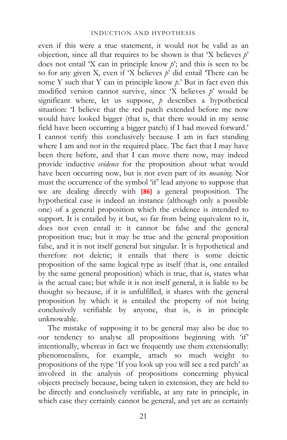even if this were a true statement, it would not be valid as an objection, since all that requires to be shown is that 'X believes *p*' does not entail 'X can in principle know *p*'; and this is seen to be so for any given X, even if 'X believes *p*' did entail 'There can be some Y such that Y can in principle know *p*.' But in fact even this modified version cannot survive, since 'X believes *p*' would be significant where, let us suppose,  $p$  describes a hypothetical situation: 'I believe that the red patch extended before me now would have looked bigger (that is, that there would in my sense field have been occurring a bigger patch) if I had moved forward.' I cannot verify this conclusively because I am in fact standing where I am and not in the required place. The fact that I may have been there before, and that I can move there now, may indeed provide inductive *evidence* for the proposition about what would have been occurring now, but is not even part of its *meaning*. Nor must the occurrence of the symbol 'if' lead anyone to suppose that we are dealing directly with **[86]** a general proposition. The hypothetical case is indeed an instance (although only a possible one) of a general proposition which the evidence is intended to support. It is entailed by it but, so far from being equivalent to it, does not even entail it: it cannot be false and the general proposition true; but it may be true and the general proposition false, and it is not itself general but singular. It is hypothetical and therefore not deictic; it entails that there is some deictic proposition of the same logical type as itself (that is, one entailed by the same general proposition) which is true, that is, states what is the actual case; but while it is not itself general, it is liable to be thought so because, if it is unfulfilled, it shares with the general proposition by which it is entailed the property of not being conclusively verifiable by anyone, that is, is in principle unknowable.

The mistake of supposing it to be general may also be due to our tendency to analyse all propositions beginning with 'if' intentionally, whereas in fact we frequently use them extensionally: phenomenalists, for example, attach so much weight to propositions of the type 'If you look up you will see a red patch' as involved in the analysis of propositions concerning physical objects precisely because, being taken in extension, they are held to be directly and conclusively verifiable, at any rate in principle, in which case they certainly cannot be general, and yet are as certainly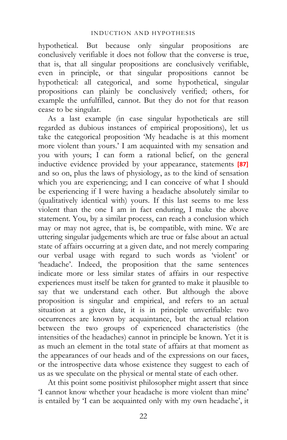hypothetical. But because only singular propositions are conclusively verifiable it does not follow that the converse is true, that is, that all singular propositions are conclusively verifiable, even in principle, or that singular propositions cannot be hypothetical: all categorical, and some hypothetical, singular propositions can plainly be conclusively verified; others, for example the unfulfilled, cannot. But they do not for that reason cease to be singular.

As a last example (in case singular hypotheticals are still regarded as dubious instances of empirical propositions), let us take the categorical proposition 'My headache is at this moment more violent than yours.' I am acquainted with my sensation and you with yours; I can form a rational belief, on the general inductive evidence provided by your appearance, statements **[87]** and so on, plus the laws of physiology, as to the kind of sensation which you are experiencing; and I can conceive of what I should be experiencing if I were having a headache absolutely similar to (qualitatively identical with) yours. If this last seems to me less violent than the one I am in fact enduring, I make the above statement. You, by a similar process, can reach a conclusion which may or may not agree, that is, be compatible, with mine. We are uttering singular judgements which are true or false about an actual state of affairs occurring at a given date, and not merely comparing our verbal usage with regard to such words as 'violent' or 'headache'. Indeed, the proposition that the same sentences indicate more or less similar states of affairs in our respective experiences must itself be taken for granted to make it plausible to say that we understand each other. But although the above proposition is singular and empirical, and refers to an actual situation at a given date, it is in principle unverifiable: two occurrences are known by acquaintance, but the actual relation between the two groups of experienced characteristics (the intensities of the headaches) cannot in principle be known. Yet it is as much an element in the total state of affairs at that moment as the appearances of our heads and of the expressions on our faces, or the introspective data whose existence they suggest to each of us as we speculate on the physical or mental state of each other.

At this point some positivist philosopher might assert that since 'I cannot know whether your headache is more violent than mine' is entailed by 'I can be acquainted only with my own headache', it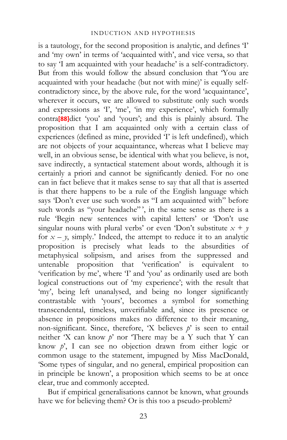is a tautology, for the second proposition is analytic, and defines 'I' and 'my own' in terms of 'acquainted with', and vice versa, so that to say 'I am acquainted with your headache' is a self-contradictory. But from this would follow the absurd conclusion that 'You are acquainted with your headache (but not with mine)' is equally selfcontradictory since, by the above rule, for the word 'acquaintance', wherever it occurs, we are allowed to substitute only such words and expressions as 'I', 'me', 'in my experience', which formally contra**[88]**dict 'you' and 'yours'; and this is plainly absurd. The proposition that I am acquainted only with a certain class of experiences (defined as mine, provided 'I' is left undefined), which are not objects of your acquaintance, whereas what I believe may well, in an obvious sense, be identical with what you believe, is not, save indirectly, a syntactical statement about words, although it is certainly a priori and cannot be significantly denied. For no one can in fact believe that it makes sense to say that all that is asserted is that there happens to be a rule of the English language which says 'Don't ever use such words as "I am acquainted with" before such words as "your headache"', in the same sense as there is a rule 'Begin new sentences with capital letters' or 'Don't use singular nouns with plural verbs' or even 'Don't substitute  $x + y$ for  $x - y$ , simply.' Indeed, the attempt to reduce it to an analytic proposition is precisely what leads to the absurdities of metaphysical solipsism, and arises from the suppressed and untenable proposition that 'verification' is equivalent to 'verification by me', where 'I' and 'you' as ordinarily used are both logical constructions out of 'my experience'; with the result that 'my', being left unanalysed, and being no longer significantly contrastable with 'yours', becomes a symbol for something transcendental, timeless, unverifiable and, since its presence or absence in propositions makes no difference to their meaning, non-significant. Since, therefore, 'X believes *p*' is seen to entail neither 'X can know *p*' nor 'There may be a Y such that Y can know *p*', I can see no objection drawn from either logic or common usage to the statement, impugned by Miss MacDonald, 'Some types of singular, and no general, empirical proposition can in principle be known', a proposition which seems to be at once clear, true and commonly accepted.

But if empirical generalisations cannot be known, what grounds have we for believing them? Or is this too a pseudo-problem?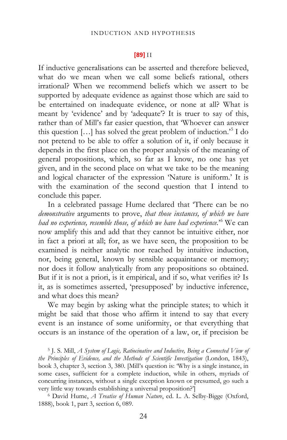#### INDUCTION AND HYPOTHESIS

#### **[89]** II

If inductive generalisations can be asserted and therefore believed, what do we mean when we call some beliefs rational, others irrational? When we recommend beliefs which we assert to be supported by adequate evidence as against those which are said to be entertained on inadequate evidence, or none at all? What is meant by 'evidence' and by 'adequate'? It is truer to say of this, rather than of Mill's far easier question, that 'Whoever can answer this question […] has solved the great problem of induction.'[5](#page-24-0) I do not pretend to be able to offer a solution of it, if only because it depends in the first place on the proper analysis of the meaning of general propositions, which, so far as I know, no one has yet given, and in the second place on what we take to be the meaning and logical character of the expression 'Nature is uniform.' It is with the examination of the second question that I intend to conclude this paper.

In a celebrated passage Hume declared that 'There can be no *demonstrative* arguments to prove, *that those instances, of which we have had no experience, resemble those, of which we have had experience*.'[6](#page-24-1) We can now amplify this and add that they cannot be intuitive either, nor in fact a priori at all; for, as we have seen, the proposition to be examined is neither analytic nor reached by intuitive induction, nor, being general, known by sensible acquaintance or memory; nor does it follow analytically from any propositions so obtained. But if it is not a priori, is it empirical, and if so, what verifies it? Is it, as is sometimes asserted, 'presupposed' by inductive inference, and what does this mean?

We may begin by asking what the principle states; to which it might be said that those who affirm it intend to say that every event is an instance of some uniformity, or that everything that occurs is an instance of the operation of a law, or, if precision be

<span id="page-24-0"></span><sup>5</sup> J. S. Mill, *A System of Logic, Ratiocinative and Inductive, Being a Connected View of the Principles of Evidence, and the Methods of Scientific Investigation* (London, 1843), book 3, chapter 3, section 3, 380. [Mill's question is: 'Why is a single instance, in some cases, sufficient for a complete induction, while in others, myriads of concurring instances, without a single exception known or presumed, go such a very little way towards establishing a universal proposition?']

<span id="page-24-1"></span><sup>6</sup> David Hume, *A Treatise of Human Nature*, ed. L. A. Selby-Bigge (Oxford, 1888), book 1, part 3, section 6, 089.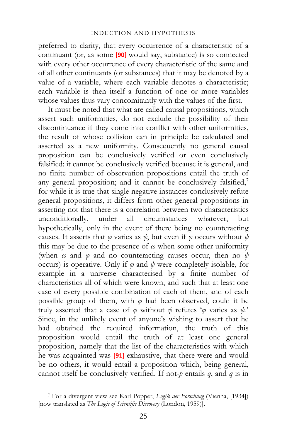preferred to clarity, that every occurrence of a characteristic of a continuant (or, as some **[90]** would say, substance) is so connected with every other occurrence of every characteristic of the same and of all other continuants (or substances) that it may be denoted by a value of a variable, where each variable denotes a characteristic; each variable is then itself a function of one or more variables whose values thus vary concomitantly with the values of the first.

It must be noted that what are called causal propositions, which assert such uniformities, do not exclude the possibility of their discontinuance if they come into conflict with other uniformities, the result of whose collision can in principle be calculated and asserted as a new uniformity. Consequently no general causal proposition can be conclusively verified or even conclusively falsified: it cannot be conclusively verified because it is general, and no finite number of observation propositions entail the truth of any general proposition; and it cannot be conclusively falsified,<sup>[7](#page-25-0)</sup> for while it is true that single negative instances conclusively refute general propositions, it differs from other general propositions in asserting not that there is a correlation between two characteristics unconditionally, under all circumstances whatever, but hypothetically, only in the event of there being no counteracting causes. It asserts that  $\varphi$  varies as  $\psi$ , but even if  $\varphi$  occurs without  $\psi$ this may be due to the presence of *ω* when some other uniformity (when *ω* and *φ* and no counteracting causes occur, then no *ψ* occurs) is operative. Only if *φ* and *ψ* were completely isolable, for example in a universe characterised by a finite number of characteristics all of which were known, and such that at least one case of every possible combination of each of them, and of each possible group of them, with *φ* had been observed, could it be truly asserted that a case of *φ* without *ψ* refutes '*φ* varies as *ψ.*' Since, in the unlikely event of anyone's wishing to assert that he had obtained the required information, the truth of this proposition would entail the truth of at least one general proposition, namely that the list of the characteristics with which he was acquainted was **[91]** exhaustive, that there were and would be no others, it would entail a proposition which, being general, cannot itself be conclusively verified. If not-*p* entails *q*, and *q* is in

<span id="page-25-0"></span><sup>7</sup> For a divergent view see Karl Popper, *Logik der Forschung* (Vienna, [1934]) [now translated as *The Logic of Scientific Discovery* (London, 1959)].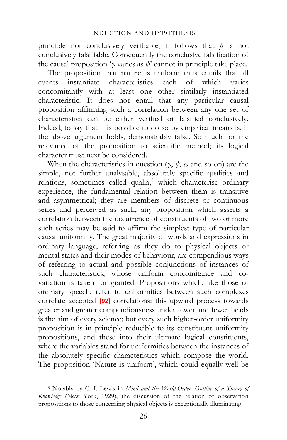principle not conclusively verifiable, it follows that *p* is not conclusively falsifiable. Consequently the conclusive falsification of the causal proposition ' $\varphi$  varies as  $\psi$ ' cannot in principle take place.

The proposition that nature is uniform thus entails that all events instantiate characteristics each of which varies concomitantly with at least one other similarly instantiated characteristic. It does not entail that any particular causal proposition affirming such a correlation between any one set of characteristics can be either verified or falsified conclusively. Indeed, to say that it is possible to do so by empirical means is, if the above argument holds, demonstrably false. So much for the relevance of the proposition to scientific method; its logical character must next be considered.

When the characteristics in question  $(\varphi, \psi, \omega)$  and so on) are the simple, not further analysable, absolutely specific qualities and relations, sometimes called qualia,<sup>8</sup> which characterise ordinary experience, the fundamental relation between them is transitive and asymmetrical; they are members of discrete or continuous series and perceived as such; any proposition which asserts a correlation between the occurrence of constituents of two or more such series may be said to affirm the simplest type of particular causal uniformity. The great majority of words and expressions in ordinary language, referring as they do to physical objects or mental states and their modes of behaviour, are compendious ways of referring to actual and possible conjunctions of instances of such characteristics, whose uniform concomitance and covariation is taken for granted. Propositions which, like those of ordinary speech, refer to uniformities between such complexes correlate accepted **[92]** correlations: this upward process towards greater and greater compendiousness under fewer and fewer heads is the aim of every science; but every such higher-order uniformity proposition is in principle reducible to its constituent uniformity propositions, and these into their ultimate logical constituents, where the variables stand for uniformities between the instances of the absolutely specific characteristics which compose the world. The proposition 'Nature is uniform', which could equally well be

<span id="page-26-0"></span><sup>8</sup> Notably by C. I. Lewis in *Mind and the World-Order: Outline of a Theory of Knowledge* (New York, 1929); the discussion of the relation of observation propositions to those concerning physical objects is exceptionally illuminating.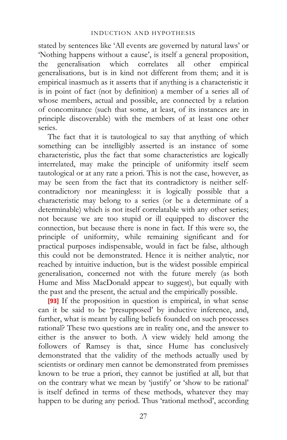stated by sentences like 'All events are governed by natural laws' or 'Nothing happens without a cause', is itself a general proposition, the generalisation which correlates all other empirical generalisations, but is in kind not different from them; and it is empirical inasmuch as it asserts that if anything is a characteristic it is in point of fact (not by definition) a member of a series all of whose members, actual and possible, are connected by a relation of concomitance (such that some, at least, of its instances are in principle discoverable) with the members of at least one other series.

The fact that it is tautological to say that anything of which something can be intelligibly asserted is an instance of some characteristic, plus the fact that some characteristics are logically interrelated, may make the principle of uniformity itself seem tautological or at any rate a priori. This is not the case, however, as may be seen from the fact that its contradictory is neither selfcontradictory nor meaningless: it is logically possible that a characteristic may belong to a series (or be a determinate of a determinable) which is not itself correlatable with any other series; not because we are too stupid or ill equipped to discover the connection, but because there is none in fact. If this were so, the principle of uniformity, while remaining significant and for practical purposes indispensable, would in fact be false, although this could not be demonstrated. Hence it is neither analytic, nor reached by intuitive induction, but is the widest possible empirical generalisation, concerned not with the future merely (as both Hume and Miss MacDonald appear to suggest), but equally with the past and the present, the actual and the empirically possible.

**[93]** If the proposition in question is empirical, in what sense can it be said to be 'presupposed' by inductive inference, and, further, what is meant by calling beliefs founded on such processes rational? These two questions are in reality one, and the answer to either is the answer to both. A view widely held among the followers of Ramsey is that, since Hume has conclusively demonstrated that the validity of the methods actually used by scientists or ordinary men cannot be demonstrated from premisses known to be true a priori, they cannot be justified at all, but that on the contrary what we mean by 'justify' or 'show to be rational' is itself defined in terms of these methods, whatever they may happen to be during any period. Thus 'rational method', according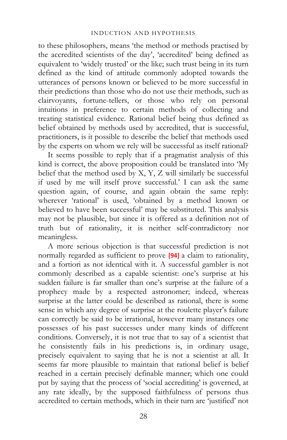to these philosophers, means 'the method or methods practised by the accredited scientists of the day', 'accredited' being defined as equivalent to 'widely trusted' or the like; such trust being in its turn defined as the kind of attitude commonly adopted towards the utterances of persons known or believed to be more successful in their predictions than those who do not use their methods, such as clairvoyants, fortune-tellers, or those who rely on personal intuitions in preference to certain methods of collecting and treating statistical evidence. Rational belief being thus defined as belief obtained by methods used by accredited, that is successful, practitioners, is it possible to describe the belief that methods used by the experts on whom we rely will be successful as itself rational?

It seems possible to reply that if a pragmatist analysis of this kind is correct, the above proposition could be translated into 'My belief that the method used by X, Y, Z will similarly be successful if used by me will itself prove successful.' I can ask the same question again, of course, and again obtain the same reply: wherever 'rational' is used, 'obtained by a method known or believed to have been successful' may be substituted. This analysis may not be plausible, but since it is offered as a definition not of truth but of rationality, it is neither self-contradictory nor meaningless.

A more serious objection is that successful prediction is not normally regarded as sufficient to prove **[94]** a claim to rationality, and a fortiori as not identical with it. A successful gambler is not commonly described as a capable scientist: one's surprise at his sudden failure is far smaller than one's surprise at the failure of a prophecy made by a respected astronomer; indeed, whereas surprise at the latter could be described as rational, there is some sense in which any degree of surprise at the roulette player's failure can correctly be said to be irrational, however many instances one possesses of his past successes under many kinds of different conditions. Conversely, it is not true that to say of a scientist that he consistently fails in his predictions is, in ordinary usage, precisely equivalent to saying that he is not a scientist at all. It seems far more plausible to maintain that rational belief is belief reached in a certain precisely definable manner; which one could put by saying that the process of 'social accrediting' is governed, at any rate ideally, by the supposed faithfulness of persons thus accredited to certain methods, which in their turn are 'justified' not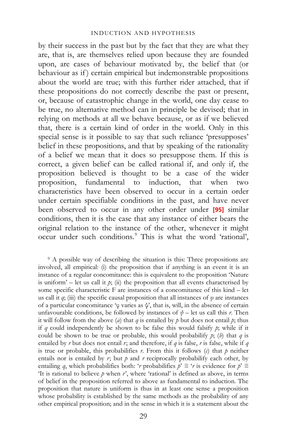by their success in the past but by the fact that they are what they are, that is, are themselves relied upon because they are founded upon, are cases of behaviour motivated by, the belief that (or behaviour as if ) certain empirical but indemonstrable propositions about the world are true; with this further rider attached, that if these propositions do not correctly describe the past or present, or, because of catastrophic change in the world, one day cease to be true, no alternative method can in principle be devised; that in relying on methods at all we behave because, or as if we believed that, there is a certain kind of order in the world. Only in this special sense is it possible to say that such reliance 'presupposes' belief in these propositions, and that by speaking of the rationality of a belief we mean that it does so presuppose them. If this is correct, a given belief can be called rational if, and only if, the proposition believed is thought to be a case of the wider proposition, fundamental to induction, that when two characteristics have been observed to occur in a certain order under certain specifiable conditions in the past, and have never been observed to occur in any other order under **[95]** similar conditions, then it is the case that any instance of either bears the original relation to the instance of the other, whenever it might occur under such conditions.[9](#page-29-0) This is what the word 'rational',

<span id="page-29-0"></span><sup>&</sup>lt;sup>9</sup> A possible way of describing the situation is this: Three propositions are involved, all empirical: (i) the proposition that if anything is an event it is an instance of a regular concomitance: this is equivalent to the proposition 'Nature is uniform' – let us call it  $p$ ; (ii) the proposition that all events characterised by some specific characteristic F are instances of a concomitance of this kind – let us call it  $q$ ; (iii) the specific causal proposition that all instances of  $\varphi$  are instances of a particular concomitance 'φ varies as ψ', that is, will, in the absence of certain unfavourable conditions, be followed by instances of  $\psi$  – let us call this *r*. Then it will follow from the above (*a*) that *q* is entailed by *p* but does not entail *p*; thus if *q* could independently be shown to be false this would falsify *p*; while if it could be shown to be true or probable, this would probabilify  $p$ ; (*b*) that *q* is entailed by *r* but does not entail *r*; and therefore, if *q* is false, *r* is false, while if *q* is true or probable, this probabilifies *r*. From this it follows (*c*) that *p* neither entails nor is entailed by  $r$ ; but  $p$  and  $r$  reciprocally probabilify each other, by entailing *q*, which probabilifies both: '*r* probabilifies  $p' \equiv 'r$  is evidence for  $p' \equiv$ It is rational to believe  $p$  when  $r'$ , where 'rational' is defined as above, in terms of belief in the proposition referred to above as fundamental to induction. The proposition that nature is uniform is thus in at least one sense a proposition whose probability is established by the same methods as the probability of any other empirical proposition; and in the sense in which it is a statement about the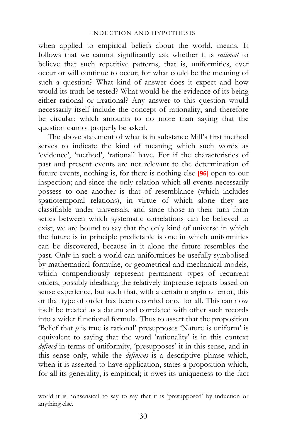when applied to empirical beliefs about the world, means. It follows that we cannot significantly ask whether it is *rational* to believe that such repetitive patterns, that is, uniformities, ever occur or will continue to occur; for what could be the meaning of such a question? What kind of answer does it expect and how would its truth be tested? What would be the evidence of its being either rational or irrational? Any answer to this question would necessarily itself include the concept of rationality, and therefore be circular: which amounts to no more than saying that the question cannot properly be asked.

The above statement of what is in substance Mill's first method serves to indicate the kind of meaning which such words as 'evidence', 'method', 'rational' have. For if the characteristics of past and present events are not relevant to the determination of future events, nothing is, for there is nothing else **[96]** open to our inspection; and since the only relation which all events necessarily possess to one another is that of resemblance (which includes spatiotemporal relations), in virtue of which alone they are classifiable under universals, and since those in their turn form series between which systematic correlations can be believed to exist, we are bound to say that the only kind of universe in which the future is in principle predictable is one in which uniformities can be discovered, because in it alone the future resembles the past. Only in such a world can uniformities be usefully symbolised by mathematical formulae, or geometrical and mechanical models, which compendiously represent permanent types of recurrent orders, possibly idealising the relatively imprecise reports based on sense experience, but such that, with a certain margin of error, this or that type of order has been recorded once for all. This can now itself be treated as a datum and correlated with other such records into a wider functional formula. Thus to assert that the proposition 'Belief that *p* is true is rational' presupposes 'Nature is uniform' is equivalent to saying that the word 'rationality' is in this context *defined* in terms of uniformity, 'presupposes' it in this sense, and in this sense only, while the *definiens* is a descriptive phrase which, when it is asserted to have application, states a proposition which, for all its generality, is empirical; it owes its uniqueness to the fact

world it is nonsensical to say to say that it is 'presupposed' by induction or anything else.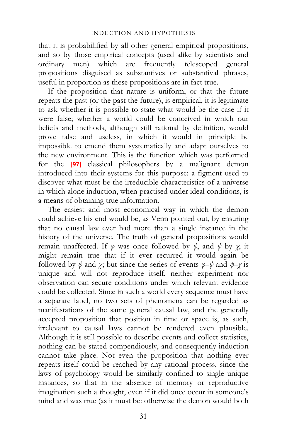that it is probabilified by all other general empirical propositions, and so by those empirical concepts (used alike by scientists and ordinary men) which are frequently telescoped general propositions disguised as substantives or substantival phrases, useful in proportion as these propositions are in fact true.

If the proposition that nature is uniform, or that the future repeats the past (or the past the future), is empirical, it is legitimate to ask whether it is possible to state what would be the case if it were false; whether a world could be conceived in which our beliefs and methods, although still rational by definition, would prove false and useless, in which it would in principle be impossible to emend them systematically and adapt ourselves to the new environment. This is the function which was performed for the **[97]** classical philosophers by a malignant demon introduced into their systems for this purpose: a figment used to discover what must be the irreducible characteristics of a universe in which alone induction, when practised under ideal conditions, is a means of obtaining true information.

The easiest and most economical way in which the demon could achieve his end would be, as Venn pointed out, by ensuring that no causal law ever had more than a single instance in the history of the universe. The truth of general propositions would remain unaffected. If  $\varphi$  was once followed by  $\psi$ , and  $\psi$  by  $\chi$ , it might remain true that if it ever recurred it would again be followed by  $\psi$  and  $\chi$ ; but since the series of events  $\varphi$ – $\psi$  and  $\psi$ – $\chi$  is unique and will not reproduce itself, neither experiment nor observation can secure conditions under which relevant evidence could be collected. Since in such a world every sequence must have a separate label, no two sets of phenomena can be regarded as manifestations of the same general causal law, and the generally accepted proposition that position in time or space is, as such, irrelevant to causal laws cannot be rendered even plausible. Although it is still possible to describe events and collect statistics, nothing can be stated compendiously, and consequently induction cannot take place. Not even the proposition that nothing ever repeats itself could be reached by any rational process, since the laws of psychology would be similarly confined to single unique instances, so that in the absence of memory or reproductive imagination such a thought, even if it did once occur in someone's mind and was true (as it must be: otherwise the demon would both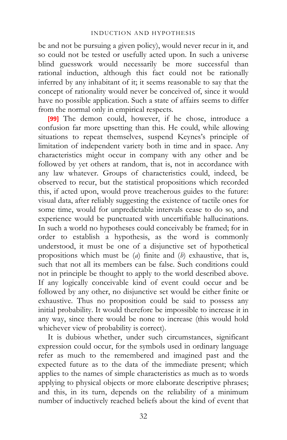be and not be pursuing a given policy), would never recur in it, and so could not be tested or usefully acted upon. In such a universe blind guesswork would necessarily be more successful than rational induction, although this fact could not be rationally inferred by any inhabitant of it; it seems reasonable to say that the concept of rationality would never be conceived of, since it would have no possible application. Such a state of affairs seems to differ from the normal only in empirical respects.

**[99]** The demon could, however, if he chose, introduce a confusion far more upsetting than this. He could, while allowing situations to repeat themselves, suspend Keynes's principle of limitation of independent variety both in time and in space. Any characteristics might occur in company with any other and be followed by yet others at random, that is, not in accordance with any law whatever. Groups of characteristics could, indeed, be observed to recur, but the statistical propositions which recorded this, if acted upon, would prove treacherous guides to the future: visual data, after reliably suggesting the existence of tactile ones for some time, would for unpredictable intervals cease to do so, and experience would be punctuated with uncertifiable hallucinations. In such a world no hypotheses could conceivably be framed; for in order to establish a hypothesis, as the word is commonly understood, it must be one of a disjunctive set of hypothetical propositions which must be (*a*) finite and (*b*) exhaustive, that is, such that not all its members can be false. Such conditions could not in principle be thought to apply to the world described above. If any logically conceivable kind of event could occur and be followed by any other, no disjunctive set would be either finite or exhaustive. Thus no proposition could be said to possess any initial probability. It would therefore be impossible to increase it in any way, since there would be none to increase (this would hold whichever view of probability is correct).

It is dubious whether, under such circumstances, significant expression could occur, for the symbols used in ordinary language refer as much to the remembered and imagined past and the expected future as to the data of the immediate present; which applies to the names of simple characteristics as much as to words applying to physical objects or more elaborate descriptive phrases; and this, in its turn, depends on the reliability of a minimum number of inductively reached beliefs about the kind of event that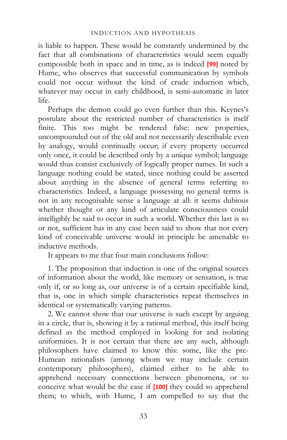is liable to happen. These would be constantly undermined by the fact that all combinations of characteristics would seem equally compossible both in space and in time, as is indeed **[99]** noted by Hume, who observes that successful communication by symbols could not occur without the kind of crude induction which, whatever may occur in early childhood, is semi-automatic in later life.

Perhaps the demon could go even further than this. Keynes's postulate about the restricted number of characteristics is itself finite. This too might be rendered false: new properties, uncompounded out of the old and not necessarily describable even by analogy, would continually occur; if every property occurred only once, it could be described only by a unique symbol; language would thus consist exclusively of logically proper names. In such a language nothing could be stated, since nothing could be asserted about anything in the absence of general terms referring to characteristics. Indeed, a language possessing no general terms is not in any recognisable sense a language at all: it seems dubious whether thought or any kind of articulate consciousness could intelligibly be said to occur in such a world. Whether this last is so or not, sufficient has in any case been said to show that not every kind of conceivable universe would in principle be amenable to inductive methods.

It appears to me that four main conclusions follow:

1. The proposition that induction is one of the original sources of information about the world, like memory or sensation, is true only if, or so long as, our universe is of a certain specifiable kind, that is, one in which simple characteristics repeat themselves in identical or systematically varying patterns.

2. We cannot show that our universe is such except by arguing in a circle, that is, showing it by a rational method, this itself being defined as the method employed in looking for and isolating uniformities. It is not certain that there are any such, although philosophers have claimed to know this: some, like the pre-Humean rationalists (among whom we may include certain contemporary philosophers), claimed either to be able to apprehend necessary connections between phenomena, or to conceive what would be the case if **[100]** they could so apprehend them; to which, with Hume, I am compelled to say that the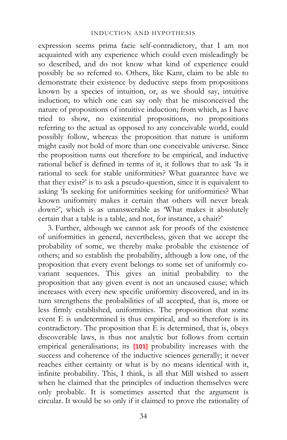expression seems prima facie self-contradictory, that I am not acquainted with any experience which could even misleadingly be so described, and do not know what kind of experience could possibly be so referred to. Others, like Kant, claim to be able to demonstrate their existence by deductive steps from propositions known by a species of intuition, or, as we should say, intuitive induction; to which one can say only that he misconceived the nature of propositions of intuitive induction; from which, as I have tried to show, no existential propositions, no propositions referring to the actual as opposed to any conceivable world, could possibly follow, whereas the proposition that nature is uniform might easily not hold of more than one conceivable universe. Since the proposition turns out therefore to be empirical, and inductive rational belief is defined in terms of it, it follows that to ask 'Is it rational to seek for stable uniformities? What guarantee have we that they exist?' is to ask a pseudo-question, since it is equivalent to asking 'Is seeking for uniformities seeking for uniformities? What known uniformity makes it certain that others will never break down?', which is as unanswerable as 'What makes it absolutely certain that a table is a table, and not, for instance, a chair?'

3. Further, although we cannot ask for proofs of the existence of uniformities in general, nevertheless, given that we accept the probability of some, we thereby make probable the existence of others; and so establish the probability, although a low one, of the proposition that every event belongs to some set of uniformly covariant sequences. This gives an initial probability to the proposition that any given event is not an uncaused cause; which increases with every new specific uniformity discovered, and in its turn strengthens the probabilities of all accepted, that is, more or less firmly established, uniformities. The proposition that some event E is undetermined is thus empirical, and so therefore is its contradictory. The proposition that E is determined, that is, obeys discoverable laws, is thus not analytic but follows from certain empirical generalisations; its **[101]** probability increases with the success and coherence of the inductive sciences generally; it never reaches either certainty or what is by no means identical with it, infinite probability. This, I think, is all that Mill wished to assert when he claimed that the principles of induction themselves were only probable. It is sometimes asserted that the argument is circular. It would be so only if it claimed to prove the rationality of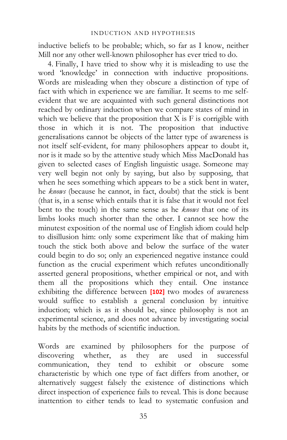inductive beliefs to be probable; which, so far as I know, neither Mill nor any other well-known philosopher has ever tried to do.

4. Finally, I have tried to show why it is misleading to use the word 'knowledge' in connection with inductive propositions. Words are misleading when they obscure a distinction of type of fact with which in experience we are familiar. It seems to me selfevident that we are acquainted with such general distinctions not reached by ordinary induction when we compare states of mind in which we believe that the proposition that  $X$  is  $F$  is corrigible with those in which it is not. The proposition that inductive generalisations cannot be objects of the latter type of awareness is not itself self-evident, for many philosophers appear to doubt it, nor is it made so by the attentive study which Miss MacDonald has given to selected cases of English linguistic usage. Someone may very well begin not only by saying, but also by supposing, that when he sees something which appears to be a stick bent in water, he *knows* (because he cannot, in fact, doubt) that the stick is bent (that is, in a sense which entails that it is false that it would not feel bent to the touch) in the same sense as he *knows* that one of its limbs looks much shorter than the other. I cannot see how the minutest exposition of the normal use of English idiom could help to disillusion him: only some experiment like that of making him touch the stick both above and below the surface of the water could begin to do so; only an experienced negative instance could function as the crucial experiment which refutes unconditionally asserted general propositions, whether empirical or not, and with them all the propositions which they entail. One instance exhibiting the difference between **[102]** two modes of awareness would suffice to establish a general conclusion by intuitive induction; which is as it should be, since philosophy is not an experimental science, and does not advance by investigating social habits by the methods of scientific induction.

Words are examined by philosophers for the purpose of discovering whether, as they are used in successful communication, they tend to exhibit or obscure some characteristic by which one type of fact differs from another, or alternatively suggest falsely the existence of distinctions which direct inspection of experience fails to reveal. This is done because inattention to either tends to lead to systematic confusion and